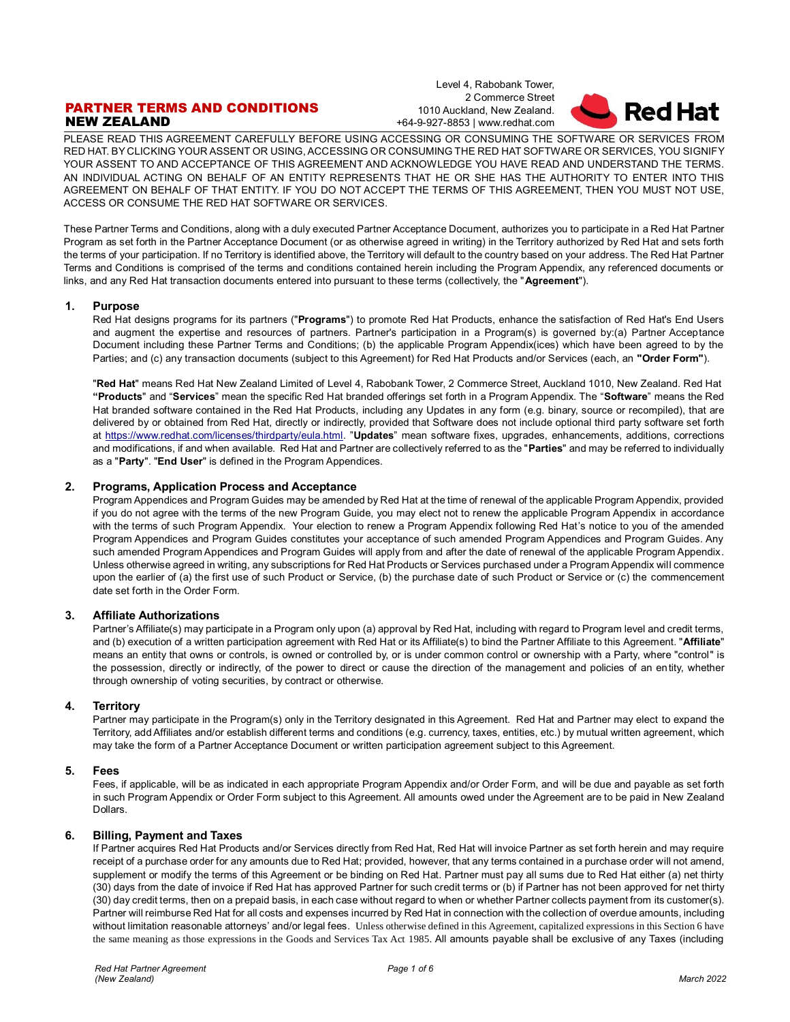# PARTNER TERMS AND CONDITIONS NEW ZEALAND

Level 4, Rabobank Tower, 2 Commerce Street 1010 Auckland, New Zealand. +64-9-927-8853 | www.redhat.com



PLEASE READ THIS AGREEMENT CAREFULLY BEFORE USING ACCESSING OR CONSUMING THE SOFTWARE OR SERVICES FROM RED HAT. BY CLICKING YOUR ASSENT OR USING, ACCESSING OR CONSUMING THE RED HAT SOFTWARE OR SERVICES, YOU SIGNIFY YOUR ASSENT TO AND ACCEPTANCE OF THIS AGREEMENT AND ACKNOWLEDGE YOU HAVE READ AND UNDERSTAND THE TERMS. AN INDIVIDUAL ACTING ON BEHALF OF AN ENTITY REPRESENTS THAT HE OR SHE HAS THE AUTHORITY TO ENTER INTO THIS AGREEMENT ON BEHALF OF THAT ENTITY. IF YOU DO NOT ACCEPT THE TERMS OF THIS AGREEMENT, THEN YOU MUST NOT USE, ACCESS OR CONSUME THE RED HAT SOFTWARE OR SERVICES.

These Partner Terms and Conditions, along with a duly executed Partner Acceptance Document, authorizes you to participate in a Red Hat Partner Program as set forth in the Partner Acceptance Document (or as otherwise agreed in writing) in the Territory authorized by Red Hat and sets forth the terms of your participation. If no Territory is identified above, the Territory will default to the country based on your address. The Red Hat Partner Terms and Conditions is comprised of the terms and conditions contained herein including the Program Appendix, any referenced documents or links, and any Red Hat transaction documents entered into pursuant to these terms (collectively, the "**Agreement**").

## **1. Purpose**

Red Hat designs programs for its partners ("**Programs**") to promote Red Hat Products, enhance the satisfaction of Red Hat's End Users and augment the expertise and resources of partners. Partner's participation in a Program(s) is governed by:(a) Partner Acceptance Document including these Partner Terms and Conditions; (b) the applicable Program Appendix(ices) which have been agreed to by the Parties; and (c) any transaction documents (subject to this Agreement) for Red Hat Products and/or Services (each, an **"Order Form"**).

"**Red Hat**" means Red Hat New Zealand Limited of Level 4, Rabobank Tower, 2 Commerce Street, Auckland 1010, New Zealand. Red Hat **"Products**" and "**Services**" mean the specific Red Hat branded offerings set forth in a Program Appendix. The "**Software**" means the Red Hat branded software contained in the Red Hat Products, including any Updates in any form (e.g. binary, source or recompiled), that are delivered by or obtained from Red Hat, directly or indirectly, provided that Software does not include optional third party software set forth at [https://www.redhat.com/licenses/thirdparty/eula.html.](https://www.redhat.com/licenses/thirdparty/eula.html) "**Updates**" mean software fixes, upgrades, enhancements, additions, corrections and modifications, if and when available. Red Hat and Partner are collectively referred to as the "**Parties**" and may be referred to individually as a "**Party**". "**End User**" is defined in the Program Appendices.

# **2. Programs, Application Process and Acceptance**

Program Appendices and Program Guides may be amended by Red Hat at the time of renewal of the applicable Program Appendix, provided if you do not agree with the terms of the new Program Guide, you may elect not to renew the applicable Program Appendix in accordance with the terms of such Program Appendix. Your election to renew a Program Appendix following Red Hat's notice to you of the amended Program Appendices and Program Guides constitutes your acceptance of such amended Program Appendices and Program Guides. Any such amended Program Appendices and Program Guides will apply from and after the date of renewal of the applicable Program Appendix. Unless otherwise agreed in writing, any subscriptions for Red Hat Products or Services purchased under a Program Appendix will commence upon the earlier of (a) the first use of such Product or Service, (b) the purchase date of such Product or Service or (c) the commencement date set forth in the Order Form.

## **3. Affiliate Authorizations**

Partner's Affiliate(s) may participate in a Program only upon (a) approval by Red Hat, including with regard to Program level and credit terms, and (b) execution of a written participation agreement with Red Hat or its Affiliate(s) to bind the Partner Affiliate to this Agreement. "**Affiliate**" means an entity that owns or controls, is owned or controlled by, or is under common control or ownership with a Party, where "control" is the possession, directly or indirectly, of the power to direct or cause the direction of the management and policies of an entity, whether through ownership of voting securities, by contract or otherwise.

## **4. Territory**

Partner may participate in the Program(s) only in the Territory designated in this Agreement. Red Hat and Partner may elect to expand the Territory, add Affiliates and/or establish different terms and conditions (e.g. currency, taxes, entities, etc.) by mutual written agreement, which may take the form of a Partner Acceptance Document or written participation agreement subject to this Agreement.

## **5. Fees**

Fees, if applicable, will be as indicated in each appropriate Program Appendix and/or Order Form, and will be due and payable as set forth in such Program Appendix or Order Form subject to this Agreement. All amounts owed under the Agreement are to be paid in New Zealand Dollars.

# **6. Billing, Payment and Taxes**

If Partner acquires Red Hat Products and/or Services directly from Red Hat, Red Hat will invoice Partner as set forth herein and may require receipt of a purchase order for any amounts due to Red Hat; provided, however, that any terms contained in a purchase order will not amend, supplement or modify the terms of this Agreement or be binding on Red Hat. Partner must pay all sums due to Red Hat either (a) net thirty (30) days from the date of invoice if Red Hat has approved Partner for such credit terms or (b) if Partner has not been approved for net thirty (30) day credit terms, then on a prepaid basis, in each case without regard to when or whether Partner collects payment from its customer(s). Partner will reimburse Red Hat for all costs and expenses incurred by Red Hat in connection with the collection of overdue amounts, including without limitation reasonable attorneys' and/or legal fees. Unless otherwise defined in this Agreement, capitalized expressions in this Section 6 have the same meaning as those expressions in the Goods and Services Tax Act 1985. All amounts payable shall be exclusive of any Taxes (including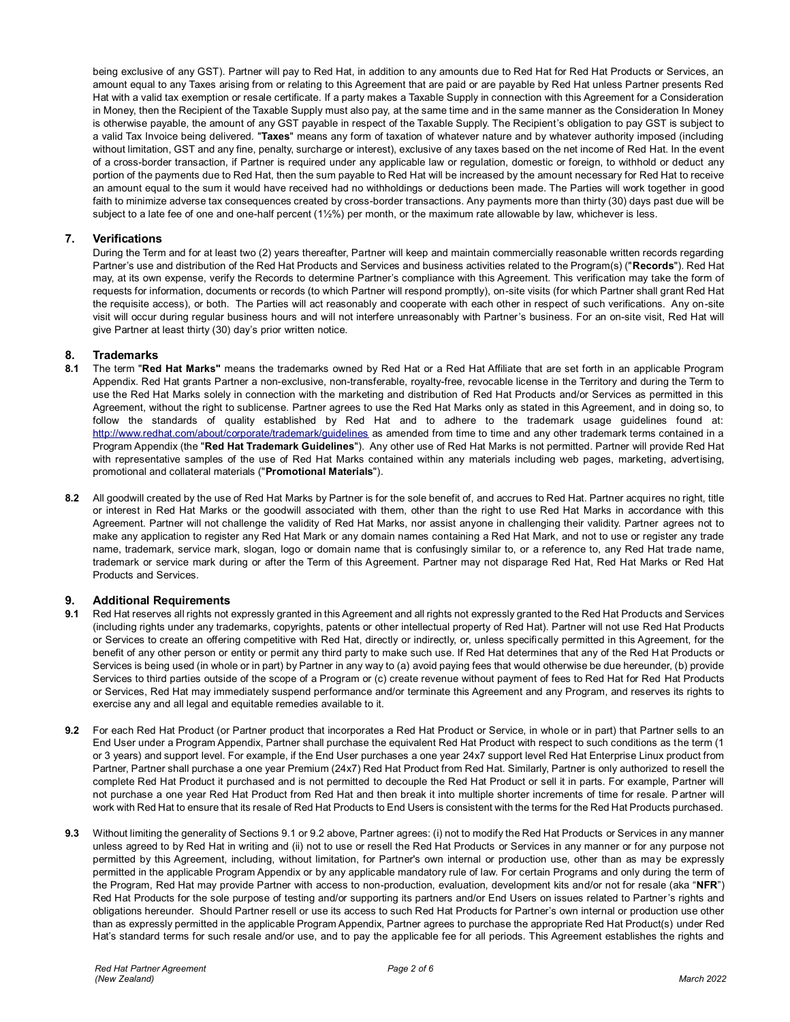being exclusive of any GST). Partner will pay to Red Hat, in addition to any amounts due to Red Hat for Red Hat Products or Services, an amount equal to any Taxes arising from or relating to this Agreement that are paid or are payable by Red Hat unless Partner presents Red Hat with a valid tax exemption or resale certificate. If a party makes a Taxable Supply in connection with this Agreement for a Consideration in Money, then the Recipient of the Taxable Supply must also pay, at the same time and in the same manner as the Consideration In Money is otherwise payable, the amount of any GST payable in respect of the Taxable Supply. The Recipient's obligation to pay GST is subject to a valid Tax Invoice being delivered. "**Taxes**" means any form of taxation of whatever nature and by whatever authority imposed (including without limitation, GST and any fine, penalty, surcharge or interest), exclusive of any taxes based on the net income of Red Hat. In the event of a cross-border transaction, if Partner is required under any applicable law or regulation, domestic or foreign, to withhold or deduct any portion of the payments due to Red Hat, then the sum payable to Red Hat will be increased by the amount necessary for Red Hat to receive an amount equal to the sum it would have received had no withholdings or deductions been made. The Parties will work together in good faith to minimize adverse tax consequences created by cross-border transactions. Any payments more than thirty (30) days past due will be subject to a late fee of one and one-half percent (1½%) per month, or the maximum rate allowable by law, whichever is less.

# **7. Verifications**

During the Term and for at least two (2) years thereafter, Partner will keep and maintain commercially reasonable written records regarding Partner's use and distribution of the Red Hat Products and Services and business activities related to the Program(s) ("**Records**"). Red Hat may, at its own expense, verify the Records to determine Partner's compliance with this Agreement. This verification may take the form of requests for information, documents or records (to which Partner will respond promptly), on-site visits (for which Partner shall grant Red Hat the requisite access), or both. The Parties will act reasonably and cooperate with each other in respect of such verifications. Any on-site visit will occur during regular business hours and will not interfere unreasonably with Partner's business. For an on-site visit, Red Hat will give Partner at least thirty (30) day's prior written notice.

## **8. Trademarks**

- **8.1** The term "**Red Hat Marks"** means the trademarks owned by Red Hat or a Red Hat Affiliate that are set forth in an applicable Program Appendix. Red Hat grants Partner a non-exclusive, non-transferable, royalty-free, revocable license in the Territory and during the Term to use the Red Hat Marks solely in connection with the marketing and distribution of Red Hat Products and/or Services as permitted in this Agreement, without the right to sublicense. Partner agrees to use the Red Hat Marks only as stated in this Agreement, and in doing so, to follow the standards of quality established by Red Hat and to adhere to the trademark usage guidelines found at: <http://www.redhat.com/about/corporate/trademark/guidelines> as amended from time to time and any other trademark terms contained in a Program Appendix (the "**Red Hat Trademark Guidelines**"). Any other use of Red Hat Marks is not permitted. Partner will provide Red Hat with representative samples of the use of Red Hat Marks contained within any materials including web pages, marketing, advertising, promotional and collateral materials ("**Promotional Materials**").
- **8.2** All goodwill created by the use of Red Hat Marks by Partner is for the sole benefit of, and accrues to Red Hat. Partner acquires no right, title or interest in Red Hat Marks or the goodwill associated with them, other than the right to use Red Hat Marks in accordance with this Agreement. Partner will not challenge the validity of Red Hat Marks, nor assist anyone in challenging their validity. Partner agrees not to make any application to register any Red Hat Mark or any domain names containing a Red Hat Mark, and not to use or register any trade name, trademark, service mark, slogan, logo or domain name that is confusingly similar to, or a reference to, any Red Hat trade name, trademark or service mark during or after the Term of this Agreement. Partner may not disparage Red Hat, Red Hat Marks or Red Hat Products and Services.

## **9. Additional Requirements**

- **9.1** Red Hat reserves all rights not expressly granted in this Agreement and all rights not expressly granted to the Red Hat Products and Services (including rights under any trademarks, copyrights, patents or other intellectual property of Red Hat). Partner will not use Red Hat Products or Services to create an offering competitive with Red Hat, directly or indirectly, or, unless specifically permitted in this Agreement, for the benefit of any other person or entity or permit any third party to make such use. If Red Hat determines that any of the Red Hat Products or Services is being used (in whole or in part) by Partner in any way to (a) avoid paying fees that would otherwise be due hereunder, (b) provide Services to third parties outside of the scope of a Program or (c) create revenue without payment of fees to Red Hat for Red Hat Products or Services, Red Hat may immediately suspend performance and/or terminate this Agreement and any Program, and reserves its rights to exercise any and all legal and equitable remedies available to it.
- **9.2** For each Red Hat Product (or Partner product that incorporates a Red Hat Product or Service, in whole or in part) that Partner sells to an End User under a Program Appendix, Partner shall purchase the equivalent Red Hat Product with respect to such conditions as the term (1 or 3 years) and support level. For example, if the End User purchases a one year 24x7 support level Red Hat Enterprise Linux product from Partner, Partner shall purchase a one year Premium (24x7) Red Hat Product from Red Hat. Similarly, Partner is only authorized to resell the complete Red Hat Product it purchased and is not permitted to decouple the Red Hat Product or sell it in parts. For example, Partner will not purchase a one year Red Hat Product from Red Hat and then break it into multiple shorter increments of time for resale. Partner will work with Red Hat to ensure that its resale of Red Hat Products to End Users is consistent with the terms for the Red Hat Products purchased.
- **9.3** Without limiting the generality of Sections 9.1 or 9.2 above, Partner agrees: (i) not to modify the Red Hat Products or Services in any manner unless agreed to by Red Hat in writing and (ii) not to use or resell the Red Hat Products or Services in any manner or for any purpose not permitted by this Agreement, including, without limitation, for Partner's own internal or production use, other than as may be expressly permitted in the applicable Program Appendix or by any applicable mandatory rule of law. For certain Programs and only during the term of the Program, Red Hat may provide Partner with access to non-production, evaluation, development kits and/or not for resale (aka "**NFR**") Red Hat Products for the sole purpose of testing and/or supporting its partners and/or End Users on issues related to Partner's rights and obligations hereunder. Should Partner resell or use its access to such Red Hat Products for Partner's own internal or production use other than as expressly permitted in the applicable Program Appendix, Partner agrees to purchase the appropriate Red Hat Product(s) under Red Hat's standard terms for such resale and/or use, and to pay the applicable fee for all periods. This Agreement establishes the rights and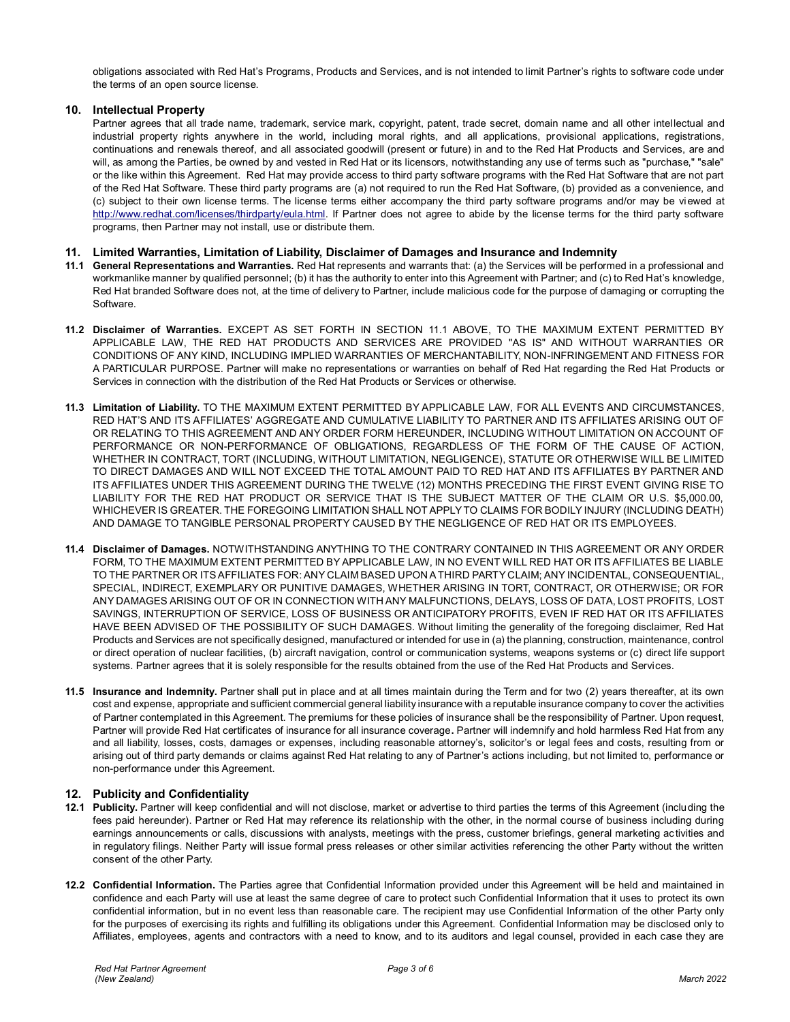obligations associated with Red Hat's Programs, Products and Services, and is not intended to limit Partner's rights to software code under the terms of an open source license.

# **10. Intellectual Property**

Partner agrees that all trade name, trademark, service mark, copyright, patent, trade secret, domain name and all other intellectual and industrial property rights anywhere in the world, including moral rights, and all applications, provisional applications, registrations, continuations and renewals thereof, and all associated goodwill (present or future) in and to the Red Hat Products and Services, are and will, as among the Parties, be owned by and vested in Red Hat or its licensors, notwithstanding any use of terms such as "purchase," "sale" or the like within this Agreement. Red Hat may provide access to third party software programs with the Red Hat Software that are not part of the Red Hat Software. These third party programs are (a) not required to run the Red Hat Software, (b) provided as a convenience, and (c) subject to their own license terms. The license terms either accompany the third party software programs and/or may be viewed at [http://www.redhat.com/licenses/thirdparty/eula.html.](http://www.redhat.com/licenses/thirdparty/eula.html) If Partner does not agree to abide by the license terms for the third party software programs, then Partner may not install, use or distribute them.

## **11. Limited Warranties, Limitation of Liability, Disclaimer of Damages and Insurance and Indemnity**

- **11.1 General Representations and Warranties.** Red Hat represents and warrants that: (a) the Services will be performed in a professional and workmanlike manner by qualified personnel; (b) it has the authority to enter into this Agreement with Partner; and (c) to Red Hat's knowledge, Red Hat branded Software does not, at the time of delivery to Partner, include malicious code for the purpose of damaging or corrupting the Software.
- **11.2 Disclaimer of Warranties.** EXCEPT AS SET FORTH IN SECTION 11.1 ABOVE, TO THE MAXIMUM EXTENT PERMITTED BY APPLICABLE LAW, THE RED HAT PRODUCTS AND SERVICES ARE PROVIDED "AS IS" AND WITHOUT WARRANTIES OR CONDITIONS OF ANY KIND, INCLUDING IMPLIED WARRANTIES OF MERCHANTABILITY, NON-INFRINGEMENT AND FITNESS FOR A PARTICULAR PURPOSE. Partner will make no representations or warranties on behalf of Red Hat regarding the Red Hat Products or Services in connection with the distribution of the Red Hat Products or Services or otherwise.
- **11.3 Limitation of Liability.** TO THE MAXIMUM EXTENT PERMITTED BY APPLICABLE LAW, FOR ALL EVENTS AND CIRCUMSTANCES, RED HAT'S AND ITS AFFILIATES' AGGREGATE AND CUMULATIVE LIABILITY TO PARTNER AND ITS AFFILIATES ARISING OUT OF OR RELATING TO THIS AGREEMENT AND ANY ORDER FORM HEREUNDER, INCLUDING WITHOUT LIMITATION ON ACCOUNT OF PERFORMANCE OR NON-PERFORMANCE OF OBLIGATIONS, REGARDLESS OF THE FORM OF THE CAUSE OF ACTION, WHETHER IN CONTRACT, TORT (INCLUDING, WITHOUT LIMITATION, NEGLIGENCE), STATUTE OR OTHERWISE WILL BE LIMITED TO DIRECT DAMAGES AND WILL NOT EXCEED THE TOTAL AMOUNT PAID TO RED HAT AND ITS AFFILIATES BY PARTNER AND ITS AFFILIATES UNDER THIS AGREEMENT DURING THE TWELVE (12) MONTHS PRECEDING THE FIRST EVENT GIVING RISE TO LIABILITY FOR THE RED HAT PRODUCT OR SERVICE THAT IS THE SUBJECT MATTER OF THE CLAIM OR U.S. \$5,000.00, WHICHEVER IS GREATER. THE FOREGOING LIMITATION SHALL NOT APPLY TO CLAIMS FOR BODILY INJURY (INCLUDING DEATH) AND DAMAGE TO TANGIBLE PERSONAL PROPERTY CAUSED BY THE NEGLIGENCE OF RED HAT OR ITS EMPLOYEES.
- **11.4 Disclaimer of Damages.** NOTWITHSTANDING ANYTHING TO THE CONTRARY CONTAINED IN THIS AGREEMENT OR ANY ORDER FORM, TO THE MAXIMUM EXTENT PERMITTED BY APPLICABLE LAW, IN NO EVENT WILL RED HAT OR ITS AFFILIATES BE LIABLE TO THE PARTNER OR ITS AFFILIATES FOR: ANY CLAIM BASED UPON A THIRD PARTY CLAIM; ANY INCIDENTAL, CONSEQUENTIAL, SPECIAL, INDIRECT, EXEMPLARY OR PUNITIVE DAMAGES, WHETHER ARISING IN TORT, CONTRACT, OR OTHERWISE; OR FOR ANY DAMAGES ARISING OUT OF OR IN CONNECTION WITH ANY MALFUNCTIONS, DELAYS, LOSS OF DATA, LOST PROFITS, LOST SAVINGS, INTERRUPTION OF SERVICE, LOSS OF BUSINESS OR ANTICIPATORY PROFITS, EVEN IF RED HAT OR ITS AFFILIATES HAVE BEEN ADVISED OF THE POSSIBILITY OF SUCH DAMAGES. Without limiting the generality of the foregoing disclaimer, Red Hat Products and Services are not specifically designed, manufactured or intended for use in (a) the planning, construction, maintenance, control or direct operation of nuclear facilities, (b) aircraft navigation, control or communication systems, weapons systems or (c) direct life support systems. Partner agrees that it is solely responsible for the results obtained from the use of the Red Hat Products and Services.
- **11.5 Insurance and Indemnity.** Partner shall put in place and at all times maintain during the Term and for two (2) years thereafter, at its own cost and expense, appropriate and sufficient commercial general liability insurance with a reputable insurance company to cover the activities of Partner contemplated in this Agreement. The premiums for these policies of insurance shall be the responsibility of Partner. Upon request, Partner will provide Red Hat certificates of insurance for all insurance coverage**.** Partner will indemnify and hold harmless Red Hat from any and all liability, losses, costs, damages or expenses, including reasonable attorney's, solicitor's or legal fees and costs, resulting from or arising out of third party demands or claims against Red Hat relating to any of Partner's actions including, but not limited to, performance or non-performance under this Agreement.

# **12. Publicity and Confidentiality**

- **12.1 Publicity.** Partner will keep confidential and will not disclose, market or advertise to third parties the terms of this Agreement (including the fees paid hereunder). Partner or Red Hat may reference its relationship with the other, in the normal course of business including during earnings announcements or calls, discussions with analysts, meetings with the press, customer briefings, general marketing ac tivities and in regulatory filings. Neither Party will issue formal press releases or other similar activities referencing the other Party without the written consent of the other Party.
- **12.2 Confidential Information.** The Parties agree that Confidential Information provided under this Agreement will be held and maintained in confidence and each Party will use at least the same degree of care to protect such Confidential Information that it uses to protect its own confidential information, but in no event less than reasonable care. The recipient may use Confidential Information of the other Party only for the purposes of exercising its rights and fulfilling its obligations under this Agreement. Confidential Information may be disclosed only to Affiliates, employees, agents and contractors with a need to know, and to its auditors and legal counsel, provided in each case they are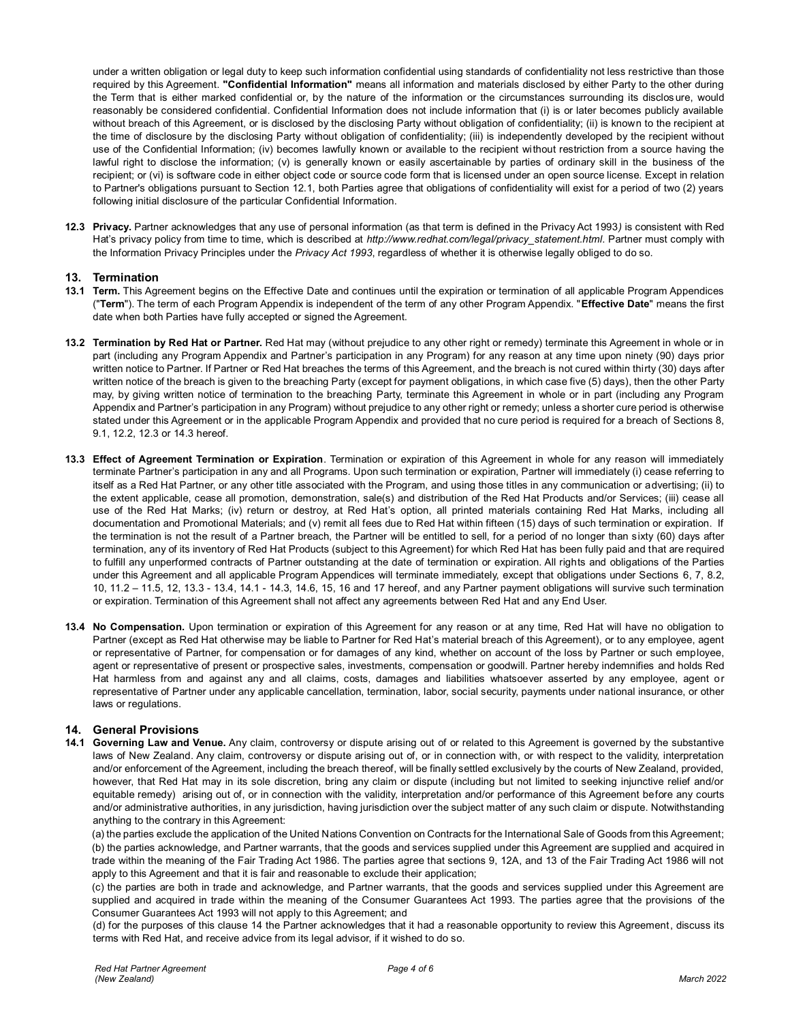under a written obligation or legal duty to keep such information confidential using standards of confidentiality not less restrictive than those required by this Agreement. **"Confidential Information"** means all information and materials disclosed by either Party to the other during the Term that is either marked confidential or, by the nature of the information or the circumstances surrounding its disclos ure, would reasonably be considered confidential. Confidential Information does not include information that (i) is or later becomes publicly available without breach of this Agreement, or is disclosed by the disclosing Party without obligation of confidentiality; (ii) is known to the recipient at the time of disclosure by the disclosing Party without obligation of confidentiality; (iii) is independently developed by the recipient without use of the Confidential Information; (iv) becomes lawfully known or available to the recipient without restriction from a source having the lawful right to disclose the information; (v) is generally known or easily ascertainable by parties of ordinary skill in the business of the recipient; or (vi) is software code in either object code or source code form that is licensed under an open source license. Except in relation to Partner's obligations pursuant to Section 12.1, both Parties agree that obligations of confidentiality will exist for a period of two (2) years following initial disclosure of the particular Confidential Information.

**12.3 Privacy.** Partner acknowledges that any use of personal information (as that term is defined in the Privacy Act 1993*)* is consistent with Red Hat's privacy policy from time to time, which is described at *http://www.redhat.com/legal/privacy\_statement.html*. Partner must comply with the Information Privacy Principles under the *Privacy Act 1993*, regardless of whether it is otherwise legally obliged to do so.

# **13. Termination**

- **13.1 Term.** This Agreement begins on the Effective Date and continues until the expiration or termination of all applicable Program Appendices ("**Term**"). The term of each Program Appendix is independent of the term of any other Program Appendix. "**Effective Date**" means the first date when both Parties have fully accepted or signed the Agreement.
- **13.2 Termination by Red Hat or Partner.** Red Hat may (without prejudice to any other right or remedy) terminate this Agreement in whole or in part (including any Program Appendix and Partner's participation in any Program) for any reason at any time upon ninety (90) days prior written notice to Partner. If Partner or Red Hat breaches the terms of this Agreement, and the breach is not cured within thirty (30) days after written notice of the breach is given to the breaching Party (except for payment obligations, in which case five (5) days), then the other Party may, by giving written notice of termination to the breaching Party, terminate this Agreement in whole or in part (including any Program Appendix and Partner's participation in any Program) without prejudice to any other right or remedy; unless a shorter cure period is otherwise stated under this Agreement or in the applicable Program Appendix and provided that no cure period is required for a breach of Sections 8, 9.1, 12.2, 12.3 or 14.3 hereof.
- **13.3 Effect of Agreement Termination or Expiration**. Termination or expiration of this Agreement in whole for any reason will immediately terminate Partner's participation in any and all Programs. Upon such termination or expiration, Partner will immediately (i) cease referring to itself as a Red Hat Partner, or any other title associated with the Program, and using those titles in any communication or advertising; (ii) to the extent applicable, cease all promotion, demonstration, sale(s) and distribution of the Red Hat Products and/or Services; (iii) cease all use of the Red Hat Marks; (iv) return or destroy, at Red Hat's option, all printed materials containing Red Hat Marks, including all documentation and Promotional Materials; and (v) remit all fees due to Red Hat within fifteen (15) days of such termination or expiration. If the termination is not the result of a Partner breach, the Partner will be entitled to sell, for a period of no longer than sixty (60) days after termination, any of its inventory of Red Hat Products (subject to this Agreement) for which Red Hat has been fully paid and that are required to fulfill any unperformed contracts of Partner outstanding at the date of termination or expiration. All rights and obligations of the Parties under this Agreement and all applicable Program Appendices will terminate immediately, except that obligations under Sections 6, 7, 8.2, 10, 11.2 – 11.5, 12, 13.3 - 13.4, 14.1 - 14.3, 14.6, 15, 16 and 17 hereof, and any Partner payment obligations will survive such termination or expiration. Termination of this Agreement shall not affect any agreements between Red Hat and any End User.
- **13.4 No Compensation.** Upon termination or expiration of this Agreement for any reason or at any time, Red Hat will have no obligation to Partner (except as Red Hat otherwise may be liable to Partner for Red Hat's material breach of this Agreement), or to any employee, agent or representative of Partner, for compensation or for damages of any kind, whether on account of the loss by Partner or such employee, agent or representative of present or prospective sales, investments, compensation or goodwill. Partner hereby indemnifies and holds Red Hat harmless from and against any and all claims, costs, damages and liabilities whatsoever asserted by any employee, agent or representative of Partner under any applicable cancellation, termination, labor, social security, payments under national insurance, or other laws or regulations.

# **14. General Provisions**

**14.1 Governing Law and Venue.** Any claim, controversy or dispute arising out of or related to this Agreement is governed by the substantive laws of New Zealand. Any claim, controversy or dispute arising out of, or in connection with, or with respect to the validity, interpretation and/or enforcement of the Agreement, including the breach thereof, will be finally settled exclusively by the courts of New Zealand, provided, however, that Red Hat may in its sole discretion, bring any claim or dispute (including but not limited to seeking injunctive relief and/or equitable remedy) arising out of, or in connection with the validity, interpretation and/or performance of this Agreement before any courts and/or administrative authorities, in any jurisdiction, having jurisdiction over the subject matter of any such claim or dispute. Notwithstanding anything to the contrary in this Agreement:

(a) the parties exclude the application of the United Nations Convention on Contracts for the International Sale of Goods from this Agreement; (b) the parties acknowledge, and Partner warrants, that the goods and services supplied under this Agreement are supplied and acquired in trade within the meaning of the Fair Trading Act 1986. The parties agree that sections 9, 12A, and 13 of the Fair Trading Act 1986 will not apply to this Agreement and that it is fair and reasonable to exclude their application;

(c) the parties are both in trade and acknowledge, and Partner warrants, that the goods and services supplied under this Agreement are supplied and acquired in trade within the meaning of the Consumer Guarantees Act 1993. The parties agree that the provisions of the Consumer Guarantees Act 1993 will not apply to this Agreement; and

(d) for the purposes of this clause 14 the Partner acknowledges that it had a reasonable opportunity to review this Agreement, discuss its terms with Red Hat, and receive advice from its legal advisor, if it wished to do so.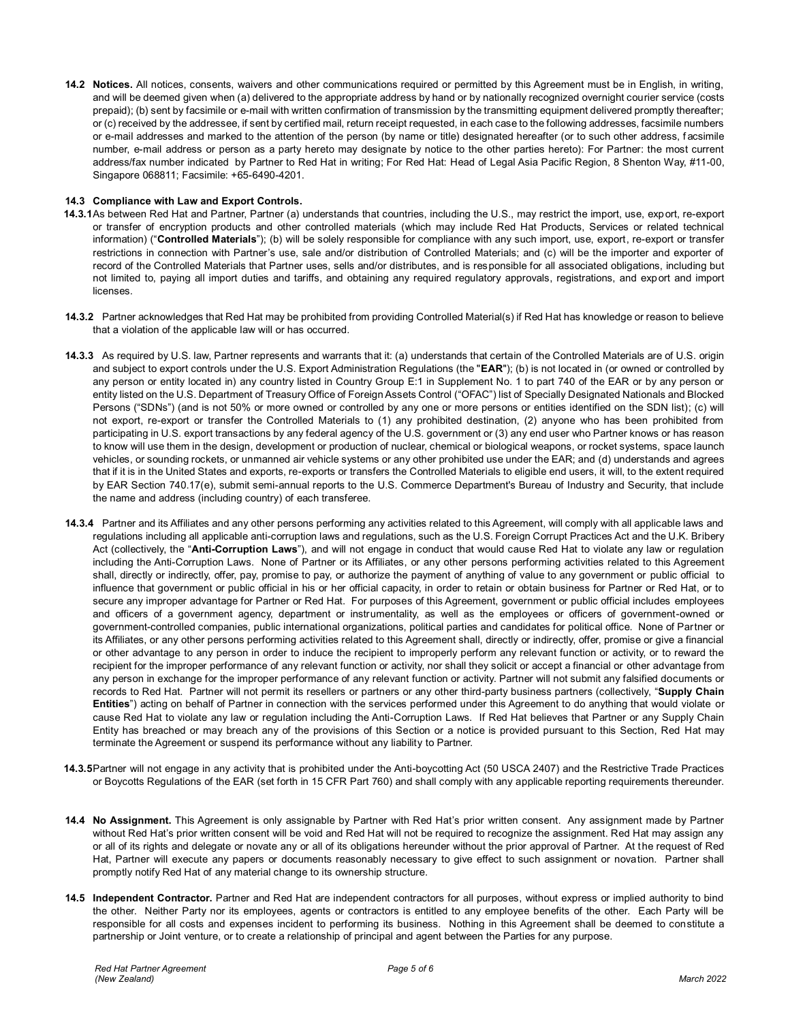**14.2 Notices.** All notices, consents, waivers and other communications required or permitted by this Agreement must be in English, in writing, and will be deemed given when (a) delivered to the appropriate address by hand or by nationally recognized overnight courier service (costs prepaid); (b) sent by facsimile or e-mail with written confirmation of transmission by the transmitting equipment delivered promptly thereafter; or (c) received by the addressee, if sent by certified mail, return receipt requested, in each case to the following addresses, facsimile numbers or e-mail addresses and marked to the attention of the person (by name or title) designated hereafter (or to such other address, f acsimile number, e-mail address or person as a party hereto may designate by notice to the other parties hereto): For Partner: the most current address/fax number indicated by Partner to Red Hat in writing; For Red Hat: Head of Legal Asia Pacific Region, 8 Shenton Way, #11-00, Singapore 068811; Facsimile: +65-6490-4201.

## **14.3 Compliance with Law and Export Controls.**

- **14.3.1**As between Red Hat and Partner, Partner (a) understands that countries, including the U.S., may restrict the import, use, export, re-export or transfer of encryption products and other controlled materials (which may include Red Hat Products, Services or related technical information) ("**Controlled Materials**"); (b) will be solely responsible for compliance with any such import, use, export, re-export or transfer restrictions in connection with Partner's use, sale and/or distribution of Controlled Materials; and (c) will be the importer and exporter of record of the Controlled Materials that Partner uses, sells and/or distributes, and is responsible for all associated obligations, including but not limited to, paying all import duties and tariffs, and obtaining any required regulatory approvals, registrations, and export and import licenses.
- **14.3.2** Partner acknowledges that Red Hat may be prohibited from providing Controlled Material(s) if Red Hat has knowledge or reason to believe that a violation of the applicable law will or has occurred.
- **14.3.3** As required by U.S. law, Partner represents and warrants that it: (a) understands that certain of the Controlled Materials are of U.S. origin and subject to export controls under the U.S. Export Administration Regulations (the "**EAR**"); (b) is not located in (or owned or controlled by any person or entity located in) any country listed in Country Group E:1 in Supplement No. 1 to part 740 of the EAR or by any person or entity listed on the U.S. Department of Treasury Office of Foreign Assets Control ("OFAC") list of Specially Designated Nationals and Blocked Persons ("SDNs") (and is not 50% or more owned or controlled by any one or more persons or entities identified on the SDN list); (c) will not export, re-export or transfer the Controlled Materials to (1) any prohibited destination, (2) anyone who has been prohibited from participating in U.S. export transactions by any federal agency of the U.S. government or (3) any end user who Partner knows or has reason to know will use them in the design, development or production of nuclear, chemical or biological weapons, or rocket systems, space launch vehicles, or sounding rockets, or unmanned air vehicle systems or any other prohibited use under the EAR; and (d) understands and agrees that if it is in the United States and exports, re-exports or transfers the Controlled Materials to eligible end users, it will, to the extent required by EAR Section 740.17(e), submit semi-annual reports to the U.S. Commerce Department's Bureau of Industry and Security, that include the name and address (including country) of each transferee.
- **14.3.4** Partner and its Affiliates and any other persons performing any activities related to this Agreement, will comply with all applicable laws and regulations including all applicable anti-corruption laws and regulations, such as the U.S. Foreign Corrupt Practices Act and the U.K. Bribery Act (collectively, the "**Anti-Corruption Laws**"), and will not engage in conduct that would cause Red Hat to violate any law or regulation including the Anti-Corruption Laws. None of Partner or its Affiliates, or any other persons performing activities related to this Agreement shall, directly or indirectly, offer, pay, promise to pay, or authorize the payment of anything of value to any government or public official to influence that government or public official in his or her official capacity, in order to retain or obtain business for Partner or Red Hat, or to secure any improper advantage for Partner or Red Hat. For purposes of this Agreement, government or public official includes employees and officers of a government agency, department or instrumentality, as well as the employees or officers of government-owned or government-controlled companies, public international organizations, political parties and candidates for political office. None of Partner or its Affiliates, or any other persons performing activities related to this Agreement shall, directly or indirectly, offer, promise or give a financial or other advantage to any person in order to induce the recipient to improperly perform any relevant function or activity, or to reward the recipient for the improper performance of any relevant function or activity, nor shall they solicit or accept a financial or other advantage from any person in exchange for the improper performance of any relevant function or activity. Partner will not submit any falsified documents or records to Red Hat. Partner will not permit its resellers or partners or any other third-party business partners (collectively, "**Supply Chain Entities**") acting on behalf of Partner in connection with the services performed under this Agreement to do anything that would violate or cause Red Hat to violate any law or regulation including the Anti-Corruption Laws. If Red Hat believes that Partner or any Supply Chain Entity has breached or may breach any of the provisions of this Section or a notice is provided pursuant to this Section, Red Hat may terminate the Agreement or suspend its performance without any liability to Partner.
- **14.3.5**Partner will not engage in any activity that is prohibited under the Anti-boycotting Act (50 USCA 2407) and the Restrictive Trade Practices or Boycotts Regulations of the EAR (set forth in 15 CFR Part 760) and shall comply with any applicable reporting requirements thereunder.
- **14.4 No Assignment.** This Agreement is only assignable by Partner with Red Hat's prior written consent. Any assignment made by Partner without Red Hat's prior written consent will be void and Red Hat will not be required to recognize the assignment. Red Hat may assign any or all of its rights and delegate or novate any or all of its obligations hereunder without the prior approval of Partner. At the request of Red Hat, Partner will execute any papers or documents reasonably necessary to give effect to such assignment or novation. Partner shall promptly notify Red Hat of any material change to its ownership structure.
- **14.5 Independent Contractor.** Partner and Red Hat are independent contractors for all purposes, without express or implied authority to bind the other. Neither Party nor its employees, agents or contractors is entitled to any employee benefits of the other. Each Party will be responsible for all costs and expenses incident to performing its business. Nothing in this Agreement shall be deemed to constitute a partnership or Joint venture, or to create a relationship of principal and agent between the Parties for any purpose.